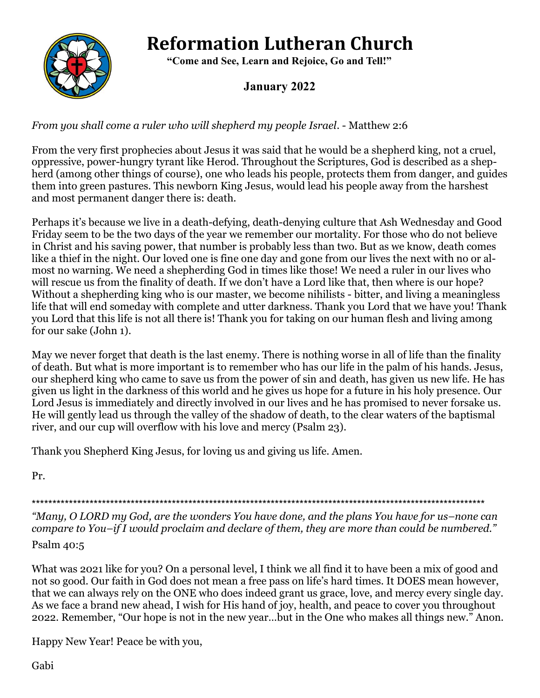# **Reformation Lutheran Church**



 **"Come and See, Learn and Rejoice, Go and Tell!"**

# **January 2022**

### *From you shall come a ruler who will shepherd my people Israel*. - Matthew 2:6

From the very first prophecies about Jesus it was said that he would be a shepherd king, not a cruel, oppressive, power-hungry tyrant like Herod. Throughout the Scriptures, God is described as a shepherd (among other things of course), one who leads his people, protects them from danger, and guides them into green pastures. This newborn King Jesus, would lead his people away from the harshest and most permanent danger there is: death.

Perhaps it's because we live in a death-defying, death-denying culture that Ash Wednesday and Good Friday seem to be the two days of the year we remember our mortality. For those who do not believe in Christ and his saving power, that number is probably less than two. But as we know, death comes like a thief in the night. Our loved one is fine one day and gone from our lives the next with no or almost no warning. We need a shepherding God in times like those! We need a ruler in our lives who will rescue us from the finality of death. If we don't have a Lord like that, then where is our hope? Without a shepherding king who is our master, we become nihilists - bitter, and living a meaningless life that will end someday with complete and utter darkness. Thank you Lord that we have you! Thank you Lord that this life is not all there is! Thank you for taking on our human flesh and living among for our sake (John 1).

May we never forget that death is the last enemy. There is nothing worse in all of life than the finality of death. But what is more important is to remember who has our life in the palm of his hands. Jesus, our shepherd king who came to save us from the power of sin and death, has given us new life. He has given us light in the darkness of this world and he gives us hope for a future in his holy presence. Our Lord Jesus is immediately and directly involved in our lives and he has promised to never forsake us. He will gently lead us through the valley of the shadow of death, to the clear waters of the baptismal river, and our cup will overflow with his love and mercy (Psalm 23).

Thank you Shepherd King Jesus, for loving us and giving us life. Amen.

Pr.

\*\*\*\*\*\*\*\*\*\*\*\*\*\*\*\*\*\*\*\*\*\*\*\*\*\*\*\*\*\*\*\*\*\*\*\*\*\*\*\*\*\*\*\*\*\*\*\*\*\*\*\*\*\*\*\*\*\*\*\*\*\*\*\*\*\*\*\*\*\*\*\*\*\*\*\*\*\*\*\*\*\*\*\*\*\*\*\*\*\*\*\*\*\*\*\*\*\*\*\*\*\*\*\*\*\*\*\*\*\*

*"Many, O LORD my God, are the wonders You have done, and the plans You have for us–none can compare to You–if I would proclaim and declare of them, they are more than could be numbered."*

Psalm 40:5

What was 2021 like for you? On a personal level, I think we all find it to have been a mix of good and not so good. Our faith in God does not mean a free pass on life's hard times. It DOES mean however, that we can always rely on the ONE who does indeed grant us grace, love, and mercy every single day. As we face a brand new ahead, I wish for His hand of joy, health, and peace to cover you throughout 2022. Remember, "Our hope is not in the new year…but in the One who makes all things new." Anon.

Happy New Year! Peace be with you,